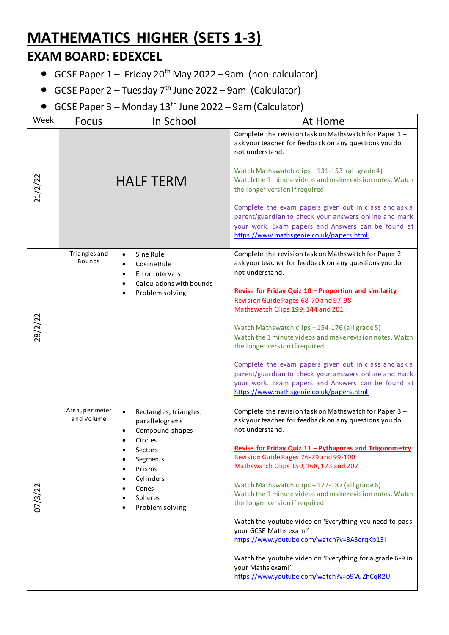## **MATHEMATICS HIGHER (SETS 1-3)**

## **EXAM BOARD: EDEXCEL**

- GCSE Paper  $1 -$  Friday 20<sup>th</sup> May 2022 9am (non-calculator)
- GCSE Paper  $2 -$ Tuesday  $7<sup>th</sup>$  June 2022 9am (Calculator)
- GCSE Paper  $3$  Monday  $13<sup>th</sup>$  June 2022 9am (Calculator)

| Week    | <b>Focus</b>                    | In School                                                                                                                                                                                                                                                                        | At Home                                                                                                                                                                                                                                                                                                                                                                                                                                                                                                                                                                                                                                                                                               |
|---------|---------------------------------|----------------------------------------------------------------------------------------------------------------------------------------------------------------------------------------------------------------------------------------------------------------------------------|-------------------------------------------------------------------------------------------------------------------------------------------------------------------------------------------------------------------------------------------------------------------------------------------------------------------------------------------------------------------------------------------------------------------------------------------------------------------------------------------------------------------------------------------------------------------------------------------------------------------------------------------------------------------------------------------------------|
| 21/2/22 |                                 | <b>HALF TERM</b>                                                                                                                                                                                                                                                                 | Complete the revision task on Mathswatch for Paper 1-<br>ask your teacher for feedback on any questions you do<br>not understand.<br>Watch Mathswatch clips -131-153 (all grade 4)<br>Watch the 1 minute videos and make revision notes. Watch<br>the longer version if required.<br>Complete the exam papers given out in class and ask a<br>parent/guardian to check your answers online and mark<br>your work. Exam papers and Answers can be found at<br>https://www.mathsgenie.co.uk/papers.html                                                                                                                                                                                                 |
|         | Tri angles and<br><b>Bounds</b> | Sine Rule<br>$\bullet$<br>Cosine Rule<br>$\bullet$<br>Error intervals<br>$\bullet$<br>Calculations with bounds<br>$\bullet$<br>Problem solving<br>$\bullet$                                                                                                                      | Complete the revision task on Mathswatch for Paper 2 -<br>ask your teacher for feedback on any questions you do<br>not understand.<br>Revise for Friday Quiz 10 - Proportion and similarity<br>Revision Guide Pages 68-70 and 97-98<br>Mathswatch Clips 199, 144 and 201<br>Watch Mathswatch clips -154-176 (all grade 5)<br>Watch the 1 minute videos and make revision notes. Watch<br>the longer version if required.<br>Complete the exam papers given out in class and ask a<br>parent/guardian to check your answers online and mark<br>your work. Exam papers and Answers can be found at<br>https://www.mathsgenie.co.uk/papers.html                                                          |
|         | Area, perimeter<br>and Volume   | $\bullet$<br>Rectangles, triangles,<br>parallelograms<br>Compound shapes<br>$\bullet$<br>Circles<br>$\bullet$<br>Sectors<br>Segments<br>$\bullet$<br>Prisms<br>$\bullet$<br>Cylinders<br>$\bullet$<br>Cones<br>$\bullet$<br>Spheres<br>$\bullet$<br>Problem solving<br>$\bullet$ | Complete the revision task on Mathswatch for Paper 3 -<br>ask your teacher for feedback on any questions you do<br>not understand.<br>Revise for Friday Quiz 11 - Pythagoras and Trigonometry<br>Revision Guide Pages 76-79 and 99-100<br>Mathswatch Clips 150, 168, 173 and 202<br>Watch Mathswatch clips -177-187 (all grade 6)<br>Watch the 1 minute videos and make revision notes. Watch<br>the longer version if required.<br>Watch the youtube video on 'Everything you need to pass<br>your GCSE Maths exam!'<br>https://www.youtube.com/watch?v=8A3crgKb13I<br>Watch the youtube video on 'Everything for a grade 6-9 in<br>your Maths exam!'<br>https://www.youtube.com/watch?v=o9VuZhCqR2U |